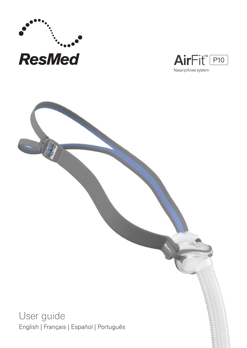



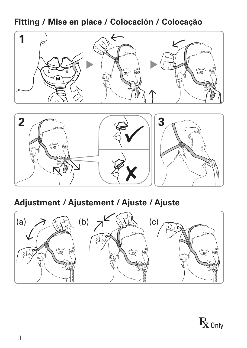**Fitting / Mise en place / Colocación / Colocação**





## **Adjustment / Ajustement / Ajuste / Ajuste**



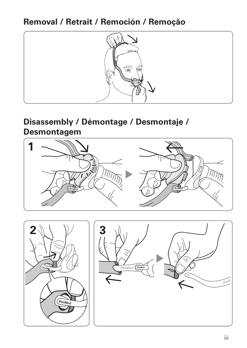## **Removal / Retrait / Remoción / Remoção**



### **Disassembly / Démontage / Desmontaje / Desmontagem**

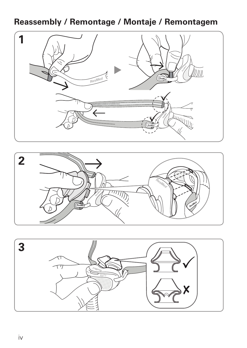### **Reassembly / Remontage / Montaje / Remontagem**





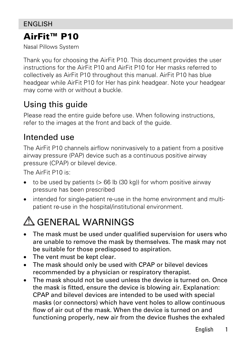## AirFit™ P10

Nasal Pillows System

Thank you for choosing the AirFit P10. This document provides the user instructions for the AirFit P10 and AirFit P10 for Her masks referred to collectively as AirFit P10 throughout this manual. AirFit P10 has blue headgear while AirFit P10 for Her has pink headgear. Note your headgear may come with or without a buckle.

# Using this guide

Please read the entire quide before use. When following instructions, refer to the images at the front and back of the guide.

## Intended use

The AirFit P10 channels airflow noninvasively to a patient from a positive airway pressure (PAP) device such as a continuous positive airway pressure (CPAP) or bilevel device.

The AirFit P10 is:

- to be used by patients  $(> 66$  lb  $(30 \text{ kg}))$  for whom positive airway pressure has been prescribed
- intended for single-patient re-use in the home environment and multipatient re-use in the hospital/institutional environment.

# GENERAL WARNINGS

- The mask must be used under qualified supervision for users who are unable to remove the mask by themselves. The mask may not be suitable for those predisposed to aspiration.
- The vent must be kept clear.
- The mask should only be used with CPAP or bilevel devices recommended by a physician or respiratory therapist.
- The mask should not be used unless the device is turned on. Once the mask is fitted, ensure the device is blowing air. Explanation: CPAP and bilevel devices are intended to be used with special masks (or connectors) which have vent holes to allow continuous flow of air out of the mask. When the device is turned on and functioning properly, new air from the device flushes the exhaled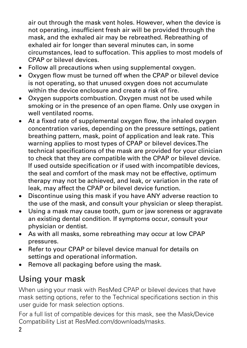air out through the mask vent holes. However, when the device is not operating, insufficient fresh air will be provided through the mask, and the exhaled air may be rebreathed. Rebreathing of exhaled air for longer than several minutes can, in some circumstances, lead to suffocation. This applies to most models of CPAP or bilevel devices.

- Follow all precautions when using supplemental oxygen.
- Oxygen flow must be turned off when the CPAP or bilevel device is not operating, so that unused oxygen does not accumulate within the device enclosure and create a risk of fire.
- Oxygen supports combustion. Oxygen must not be used while smoking or in the presence of an open flame. Only use oxygen in well ventilated rooms.
- At a fixed rate of supplemental oxygen flow, the inhaled oxygen concentration varies, depending on the pressure settings, patient breathing pattern, mask, point of application and leak rate. This warning applies to most types of CPAP or bilevel devices.The technical specifications of the mask are provided for your clinician to check that they are compatible with the CPAP or bilevel device. If used outside specification or if used with incompatible devices, the seal and comfort of the mask may not be effective, optimum therapy may not be achieved, and leak, or variation in the rate of leak, may affect the CPAP or bilevel device function.
- Discontinue using this mask if you have ANY adverse reaction to the use of the mask, and consult your physician or sleep therapist.
- Using a mask may cause tooth, gum or jaw soreness or aggravate an existing dental condition. If symptoms occur, consult your physician or dentist.
- As with all masks, some rebreathing may occur at low CPAP pressures.
- Refer to your CPAP or bilevel device manual for details on settings and operational information.
- Remove all packaging before using the mask.

## Using your mask

When using your mask with ResMed CPAP or bilevel devices that have mask setting options, refer to the Technical specifications section in this user guide for mask selection options.

For a full list of compatible devices for this mask, see the Mask/Device Compatibility List at ResMed.com/downloads/masks.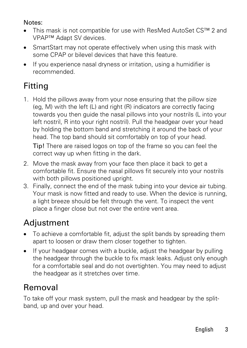#### Notes:

- This mask is not compatible for use with ResMed AutoSet CS™ 2 and VPAP™ Adapt SV devices.
- SmartStart may not operate effectively when using this mask with some CPAP or bilevel devices that have this feature.
- If you experience nasal dryness or irritation, using a humidifier is recommended.

# Fitting

1. Hold the pillows away from your nose ensuring that the pillow size (eg, M) with the left (L) and right (R) indicators are correctly facing towards you then guide the nasal pillows into your nostrils (L into your left nostril, R into your right nostril). Pull the headgear over your head by holding the bottom band and stretching it around the back of your head. The top band should sit comfortably on top of your head.

Tip! There are raised logos on top of the frame so you can feel the correct way up when fitting in the dark.

- 2. Move the mask away from your face then place it back to get a comfortable fit. Ensure the nasal pillows fit securely into your nostrils with both pillows positioned upright.
- 3. Finally, connect the end of the mask tubing into your device air tubing. Your mask is now fitted and ready to use. When the device is running, a light breeze should be felt through the vent. To inspect the vent place a finger close but not over the entire vent area.

## **Adjustment**

- To achieve a comfortable fit, adjust the split bands by spreading them apart to loosen or draw them closer together to tighten.
- If your headgear comes with a buckle, adjust the headgear by pulling the headgear through the buckle to fix mask leaks. Adjust only enough for a comfortable seal and do not overtighten. You may need to adjust the headgear as it stretches over time.

# Removal

To take off your mask system, pull the mask and headgear by the splitband, up and over your head.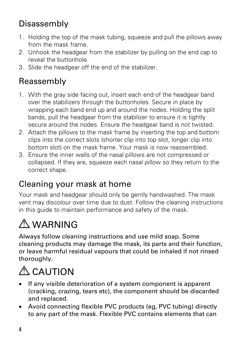# Disassembly

- 1. Holding the top of the mask tubing, squeeze and pull the pillows away from the mask frame.
- 2. Unhook the headgear from the stabilizer by pulling on the end cap to reveal the buttonhole.
- 3. Slide the headgear off the end of the stabilizer.

# Reassembly

- 1. With the gray side facing out, insert each end of the headgear band over the stabilizers through the buttonholes. Secure in place by wrapping each band end up and around the nodes. Holding the split bands, pull the headgear from the stabilizer to ensure it is tightly secure around the nodes. Ensure the headgear band is not twisted.
- 2. Attach the pillows to the mask frame by inserting the top and bottom clips into the correct slots (shorter clip into top slot, longer clip into bottom slot) on the mask frame. Your mask is now reassembled.
- 3. Ensure the inner walls of the nasal pillows are not compressed or collapsed. If they are, squeeze each nasal pillow so they return to the correct shape.

## Cleaning your mask at home

Your mask and headgear should only be gently handwashed. The mask vent may discolour over time due to dust. Follow the cleaning instructions in this guide to maintain performance and safety of the mask.

# $\bigwedge$  WARNING

Always follow cleaning instructions and use mild soap. Some cleaning products may damage the mask, its parts and their function, or leave harmful residual vapours that could be inhaled if not rinsed thoroughly.



- If any visible deterioration of a system component is apparent (cracking, crazing, tears etc), the component should be discarded and replaced.
- Avoid connecting flexible PVC products (eg, PVC tubing) directly to any part of the mask. Flexible PVC contains elements that can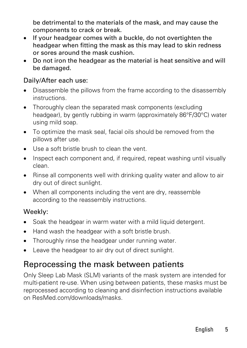be detrimental to the materials of the mask, and may cause the components to crack or break.

- If your headgear comes with a buckle, do not overtighten the headgear when fitting the mask as this may lead to skin redness or sores around the mask cushion.
- Do not iron the headgear as the material is heat sensitive and will be damaged.

#### Daily/After each use:

- Disassemble the pillows from the frame according to the disassembly instructions.
- Thoroughly clean the separated mask components (excluding headgear), by gently rubbing in warm (approximately 86°F/30°C) water using mild soap.
- To optimize the mask seal, facial oils should be removed from the pillows after use.
- Use a soft bristle brush to clean the vent.
- Inspect each component and, if required, repeat washing until visually clean.
- Rinse all components well with drinking quality water and allow to air dry out of direct sunlight.
- When all components including the vent are dry, reassemble according to the reassembly instructions.

#### Weekly:

- Soak the headgear in warm water with a mild liquid detergent.
- Hand wash the headgear with a soft bristle brush.
- Thoroughly rinse the headgear under running water.
- Leave the headgear to air dry out of direct sunlight.

### Reprocessing the mask between patients

Only Sleep Lab Mask (SLM) variants of the mask system are intended for multi-patient re-use. When using between patients, these masks must be reprocessed according to cleaning and disinfection instructions available on ResMed.com/downloads/masks.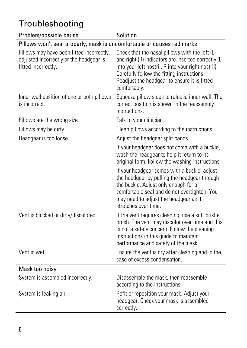# Troubleshooting

| Problem/possible cause                                                                                      | Solution                                                                                                                                                                                                                                                                  |  |
|-------------------------------------------------------------------------------------------------------------|---------------------------------------------------------------------------------------------------------------------------------------------------------------------------------------------------------------------------------------------------------------------------|--|
| Pillows won't seal properly, mask is uncomfortable or causes red marks                                      |                                                                                                                                                                                                                                                                           |  |
| Pillows may have been fitted incorrectly,<br>adjusted incorrectly or the headgear is<br>fitted incorrectly. | Check that the nasal pillows with the left (L)<br>and right (R) indicators are inserted correctly (L<br>into your left nostril, R into your right nostril).<br>Carefully follow the fitting instructions.<br>Readjust the headgear to ensure it is fitted<br>comfortably. |  |
| Inner wall position of one or both pillows<br>is incorrect.                                                 | Squeeze pillow sides to release inner wall. The<br>correct position is shown in the reassembly<br>instructions.                                                                                                                                                           |  |
| Pillows are the wrong size.                                                                                 | Talk to your clinician.                                                                                                                                                                                                                                                   |  |
| Pillows may be dirty.                                                                                       | Clean pillows according to the instructions.                                                                                                                                                                                                                              |  |
| Headgear is too loose.                                                                                      | Adjust the headgear split bands.                                                                                                                                                                                                                                          |  |
|                                                                                                             | If your headgear does not come with a buckle,<br>wash the headgear to help it return to its<br>original form. Follow the washing instructions.                                                                                                                            |  |
|                                                                                                             | If your headgear comes with a buckle, adjust<br>the headgear by pulling the headgear through<br>the buckle. Adjust only enough for a<br>comfortable seal and do not overtighten. You<br>may need to adjust the headgear as it<br>stretches over time.                     |  |
| Vent is blocked or dirty/discolored.                                                                        | If the vent requires cleaning, use a soft bristle<br>brush. The vent may discolor over time and this<br>is not a safety concern. Follow the cleaning<br>instructions in this guide to maintain<br>performance and safety of the mask.                                     |  |
| Vent is wet.                                                                                                | Ensure the vent is dry after cleaning and in the<br>case of excess condensation.                                                                                                                                                                                          |  |
| Mask too noisy                                                                                              |                                                                                                                                                                                                                                                                           |  |
| System is assembled incorrectly.                                                                            | Disassemble the mask, then reassemble<br>according to the instructions.                                                                                                                                                                                                   |  |
| System is leaking air.                                                                                      | Refit or reposition your mask. Adjust your<br>headgear. Check your mask is assembled<br>correctly.                                                                                                                                                                        |  |

l,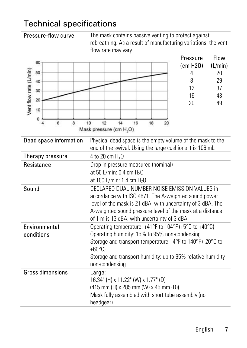### Technical specifications

|                                                                                | rebreathing. As a result of manufacturing variations, the vent<br>flow rate may vary.                                                                                                                                                                                             |
|--------------------------------------------------------------------------------|-----------------------------------------------------------------------------------------------------------------------------------------------------------------------------------------------------------------------------------------------------------------------------------|
| 60<br>Vent flow rate (L/min)<br>50<br>40<br>30<br>20<br>10<br>0<br>6<br>4<br>8 | Flow<br>Pressure<br>(cm H2O)<br>(L/min)<br>20<br>4<br>8<br>29<br>12<br>37<br>16<br>43<br>20<br>49<br>10<br>12<br>14<br>16<br>18<br>20<br>Mask pressure (cm H <sub>2</sub> O)                                                                                                      |
| Dead space information                                                         | Physical dead space is the empty volume of the mask to the<br>end of the swivel. Using the large cushions it is 106 mL.                                                                                                                                                           |
| Therapy pressure                                                               | 4 to 20 cm H <sub>2</sub> O                                                                                                                                                                                                                                                       |
| Resistance                                                                     | Drop in pressure measured (nominal)<br>at 50 L/min: 0.4 cm H <sub>2</sub> O<br>at 100 L/min: 1.4 cm H <sub>2</sub> O                                                                                                                                                              |
| Sound                                                                          | DECLARED DUAL-NUMBER NOISE EMISSION VALUES in<br>accordance with ISO 4871. The A-weighted sound power<br>level of the mask is 21 dBA, with uncertainty of 3 dBA. The<br>A-weighted sound pressure level of the mask at a distance<br>of 1 m is 13 dBA, with uncertainty of 3 dBA. |
| Environmental<br>conditions                                                    | Operating temperature: +41°F to 104°F (+5°C to +40°C)<br>Operating humidity: 15% to 95% non-condensing<br>Storage and transport temperature: -4°F to 140°F (-20°C to<br>$+60^{\circ}$ C)<br>Storage and transport humidity: up to 95% relative humidity<br>non-condensing         |
| Gross dimensions                                                               | Large:<br>16.34" (H) x 11.22" (W) x 1.77" (D)<br>(415 mm (H) x 285 mm (W) x 45 mm (D))<br>Mask fully assembled with short tube assembly (no                                                                                                                                       |

headgear)

**Pressure-flow curve** The mask contains passive venting to protect against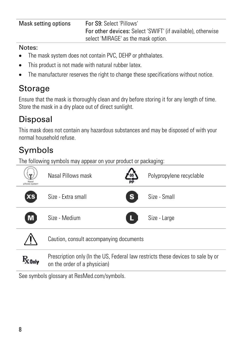| Mask setting options | For S9: Select 'Pillows'                                    |
|----------------------|-------------------------------------------------------------|
|                      | For other devices: Select 'SWIFT' (if available), otherwise |
|                      | select 'MIRAGE' as the mask option.                         |

#### Notes:

- The mask system does not contain PVC, DEHP or phthalates.
- This product is not made with natural rubber latex.
- The manufacturer reserves the right to change these specifications without notice.

## Storage

Ensure that the mask is thoroughly clean and dry before storing it for any length of time. Store the mask in a dry place out of direct sunlight.

# Disposal

This mask does not contain any hazardous substances and may be disposed of with your normal household refuse.

# Symbols

The following symbols may appear on your product or packaging:



See symbols glossary at ResMed.com/symbols.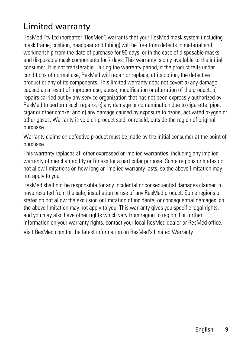# Limited warranty

ResMed Pty Ltd (hereafter 'ResMed') warrants that your ResMed mask system (including mask frame, cushion, headgear and tubing) will be free from defects in material and workmanship from the date of purchase for 90 days, or in the case of disposable masks and disposable mask components for 7 days. This warranty is only available to the initial consumer. It is not transferable. During the warranty period, if the product fails under conditions of normal use, ResMed will repair or replace, at its option, the defective product or any of its components. This limited warranty does not cover: a) any damage caused as a result of improper use, abuse, modification or alteration of the product; b) repairs carried out by any service organization that has not been expressly authorized by ResMed to perform such repairs; c) any damage or contamination due to cigarette, pipe, cigar or other smoke; and d) any damage caused by exposure to ozone, activated oxygen or other gases. Warranty is void on product sold, or resold, outside the region of original purchase.

Warranty claims on defective product must be made by the initial consumer at the point of purchase.

This warranty replaces all other expressed or implied warranties, including any implied warranty of merchantability or fitness for a particular purpose. Some regions or states do not allow limitations on how long an implied warranty lasts, so the above limitation may not apply to you.

ResMed shall not be responsible for any incidental or consequential damages claimed to have resulted from the sale, installation or use of any ResMed product. Some regions or states do not allow the exclusion or limitation of incidental or consequential damages, so the above limitation may not apply to you. This warranty gives you specific legal rights, and you may also have other rights which vary from region to region. For further information on your warranty rights, contact your local ResMed dealer or ResMed office.

Visit ResMed.com for the latest information on ResMed's Limited Warranty.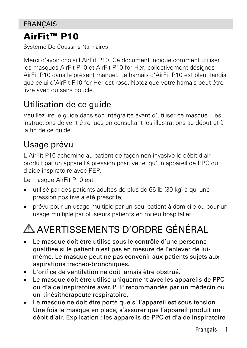### **FRANCAIS**

### AirFit™ P10

Système De Coussins Narinaires

Merci d'avoir choisi l'AirFit P10. Ce document indique comment utiliser les masques AirFit P10 et AirFit P10 for Her, collectivement désignés AirFit P10 dans le présent manuel. Le harnais d'AirFit P10 est bleu, tandis que celui d'AirFit P10 for Her est rose. Notez que votre harnais peut être livré avec ou sans boucle.

### Utilisation de ce guide

Veuillez lire le guide dans son intégralité avant d'utiliser ce masque. Les instructions doivent être lues en consultant les illustrations au début et à la fin de ce guide.

## Usage prévu

L'AirFit P10 achemine au patient de façon non-invasive le débit d'air produit par un appareil à pression positive tel qu'un appareil de PPC ou d'aide inspiratoire avec PEP.

Le masque AirFit P10 est :

- utilisé par des patients adultes de plus de 66 lb (30 kg) à qui une pression positive a été prescrite;
- prévu pour un usage multiple par un seul patient à domicile ou pour un usage multiple par plusieurs patients en milieu hospitalier.

# AVERTISSEMENTS D'ORDRE GÉNÉRAL

- Le masque doit être utilisé sous le contrôle d'une personne qualifiée si le patient n'est pas en mesure de l'enlever de luimême. Le masque peut ne pas convenir aux patients sujets aux aspirations trachéo-bronchiques.
- L'orifice de ventilation ne doit jamais être obstrué.
- Le masque doit être utilisé uniquement avec les appareils de PPC ou d'aide inspiratoire avec PEP recommandés par un médecin ou un kinésithérapeute respiratoire.
- Le masque ne doit être porté que si l'appareil est sous tension. Une fois le masque en place, s'assurer que l'appareil produit un débit d'air. Explication : les appareils de PPC et d'aide inspiratoire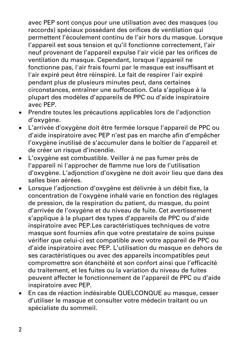avec PEP sont conçus pour une utilisation avec des masques (ou raccords) spéciaux possédant des orifices de ventilation qui permettent l'écoulement continu de l'air hors du masque. Lorsque l'appareil est sous tension et qu'il fonctionne correctement, l'air neuf provenant de l'appareil expulse l'air vicié par les orifices de ventilation du masque. Cependant, lorsque l'appareil ne fonctionne pas, l'air frais fourni par le masque est insuffisant et l'air expiré peut être réinspiré. Le fait de respirer l'air expiré pendant plus de plusieurs minutes peut, dans certaines circonstances, entraîner une suffocation. Cela s'applique à la plupart des modèles d'appareils de PPC ou d'aide inspiratoire avec PEP.

- Prendre toutes les précautions applicables lors de l'adjonction d'oxygène.
- L'arrivée d'oxygène doit être fermée lorsque l'appareil de PPC ou d'aide inspiratoire avec PEP n'est pas en marche afin d'empêcher l'oxygène inutilisé de s'accumuler dans le boîtier de l'appareil et de créer un risque d'incendie.
- L'oxygène est combustible. Veiller à ne pas fumer près de l'appareil ni l'approcher de flamme nue lors de l'utilisation d'oxygène. L'adjonction d'oxygène ne doit avoir lieu que dans des salles bien aérées.
- Lorsque l'adjonction d'oxygène est délivrée à un débit fixe, la concentration de l'oxygène inhalé varie en fonction des réglages de pression, de la respiration du patient, du masque, du point d'arrivée de l'oxygène et du niveau de fuite. Cet avertissement s'applique à la plupart des types d'appareils de PPC ou d'aide inspiratoire avec PEP.Les caractéristiques techniques de votre masque sont fournies afin que votre prestataire de soins puisse vérifier que celui-ci est compatible avec votre appareil de PPC ou d'aide inspiratoire avec PEP. L'utilisation du masque en dehors de ses caractéristiques ou avec des appareils incompatibles peut compromettre son étanchéité et son confort ainsi que l'efficacité du traitement, et les fuites ou la variation du niveau de fuites peuvent affecter le fonctionnement de l'appareil de PPC ou d'aide inspiratoire avec PEP.
- En cas de réaction indésirable QUELCONQUE au masque, cesser d'utiliser le masque et consulter votre médecin traitant ou un spécialiste du sommeil.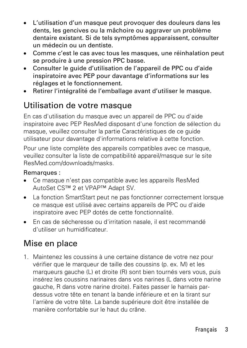- L'utilisation d'un masque peut provoquer des douleurs dans les dents, les gencives ou la mâchoire ou aggraver un problème dentaire existant. Si de tels symptômes apparaissent, consulter un médecin ou un dentiste.
- Comme c'est le cas avec tous les masques, une réinhalation peut se produire à une pression PPC basse.
- Consulter le guide d'utilisation de l'appareil de PPC ou d'aide inspiratoire avec PEP pour davantage d'informations sur les réglages et le fonctionnement.
- Retirer l'intégralité de l'emballage avant d'utiliser le masque.

## Utilisation de votre masque

En cas d'utilisation du masque avec un appareil de PPC ou d'aide inspiratoire avec PEP ResMed disposant d'une fonction de sélection du masque, veuillez consulter la partie Caractéristiques de ce guide utilisateur pour davantage d'informations relative à cette fonction.

Pour une liste complète des appareils compatibles avec ce masque, veuillez consulter la liste de compatibilité appareil/masque sur le site ResMed.com/downloads/masks.

#### Remarques :

- Ce masque n'est pas compatible avec les appareils ResMed AutoSet CS™ 2 et VPAP™ Adapt SV.
- La fonction SmartStart peut ne pas fonctionner correctement lorsque ce masque est utilisé avec certains appareils de PPC ou d'aide inspiratoire avec PEP dotés de cette fonctionnalité.
- En cas de sécheresse ou d'irritation nasale, il est recommandé d'utiliser un humidificateur.

### Mise en place

1. Maintenez les coussins à une certaine distance de votre nez pour vérifier que le marqueur de taille des coussins (p. ex. M) et les marqueurs gauche (L) et droite (R) sont bien tournés vers vous, puis insérez les coussins narinaires dans vos narines (L dans votre narine gauche, R dans votre narine droite). Faites passer le harnais pardessus votre tête en tenant la bande inférieure et en la tirant sur l'arrière de votre tête. La bande supérieure doit être installée de manière confortable sur le haut du crâne.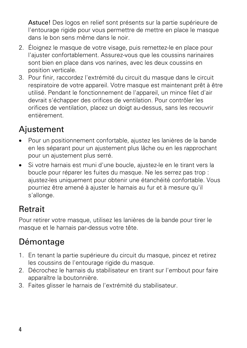Astuce! Des logos en relief sont présents sur la partie supérieure de l'entourage rigide pour vous permettre de mettre en place le masque dans le bon sens même dans le noir.

- 2. Éloignez le masque de votre visage, puis remettez-le en place pour l'ajuster confortablement. Assurez-vous que les coussins narinaires sont bien en place dans vos narines, avec les deux coussins en position verticale.
- 3. Pour finir, raccordez l'extrémité du circuit du masque dans le circuit respiratoire de votre appareil. Votre masque est maintenant prêt à être utilisé. Pendant le fonctionnement de l'appareil, un mince filet d'air devrait s'échapper des orifices de ventilation. Pour contrôler les orifices de ventilation, placez un doigt au-dessus, sans les recouvrir entièrement.

# Ajustement

- Pour un positionnement confortable, ajustez les lanières de la bande en les séparant pour un ajustement plus lâche ou en les rapprochant pour un ajustement plus serré.
- Si votre harnais est muni d'une boucle, ajustez-le en le tirant vers la boucle pour réparer les fuites du masque. Ne les serrez pas trop : ajustez-les uniquement pour obtenir une étanchéité confortable. Vous pourriez être amené à ajuster le harnais au fur et à mesure qu'il s'allonge.

# Retrait

Pour retirer votre masque, utilisez les lanières de la bande pour tirer le masque et le harnais par-dessus votre tête.

# Démontage

- 1. En tenant la partie supérieure du circuit du masque, pincez et retirez les coussins de l'entourage rigide du masque.
- 2. Décrochez le harnais du stabilisateur en tirant sur l'embout pour faire apparaître la boutonnière.
- 3. Faites glisser le harnais de l'extrémité du stabilisateur.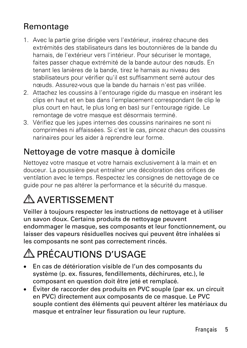## Remontage

- 1. Avec la partie grise dirigée vers l'extérieur, insérez chacune des extrémités des stabilisateurs dans les boutonnières de la bande du harnais, de l'extérieur vers l'intérieur. Pour sécuriser le montage, faites passer chaque extrémité de la bande autour des nœuds. En tenant les lanières de la bande, tirez le harnais au niveau des stabilisateurs pour vérifier qu'il est suffisamment serré autour des nœuds. Assurez-vous que la bande du harnais n'est pas vrillée.
- 2. Attachez les coussins à l'entourage rigide du masque en insérant les clips en haut et en bas dans l'emplacement correspondant (le clip le plus court en haut, le plus long en bas) sur l'entourage rigide. Le remontage de votre masque est désormais terminé.
- 3. Vérifiez que les jupes internes des coussins narinaires ne sont ni comprimées ni affaissées. Si c'est le cas, pincez chacun des coussins narinaires pour les aider à reprendre leur forme.

## Nettoyage de votre masque à domicile

Nettoyez votre masque et votre harnais exclusivement à la main et en douceur. La poussière peut entraîner une décoloration des orifices de ventilation avec le temps. Respectez les consignes de nettoyage de ce guide pour ne pas altérer la performance et la sécurité du masque.

# A AVERTISSEMENT

Veiller à toujours respecter les instructions de nettoyage et à utiliser un savon doux. Certains produits de nettoyage peuvent endommager le masque, ses composants et leur fonctionnement, ou laisser des vapeurs résiduelles nocives qui peuvent être inhalées si les composants ne sont pas correctement rincés.

# A PRÉCAUTIONS D'USAGE

- En cas de détérioration visible de l'un des composants du système (p. ex. fissures, fendillements, déchirures, etc.), le composant en question doit être jeté et remplacé.
- Éviter de raccorder des produits en PVC souple (par ex. un circuit en PVC) directement aux composants de ce masque. Le PVC souple contient des éléments qui peuvent altérer les matériaux du masque et entraîner leur fissuration ou leur rupture.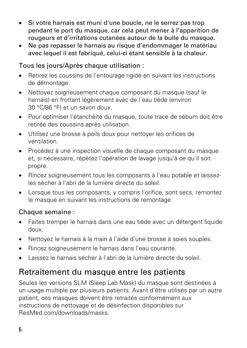- Si votre harnais est muni d'une boucle, ne le serrez pas trop pendant le port du masque, car cela peut mener à l'apparition de rougeurs et d'irritations cutanées autour de la bulle du masque.
- Ne pas repasser le harnais au risque d'endommager le matériau avec lequel il est fabriqué, celui-ci étant sensible à la chaleur.

### Tous les jours/Après chaque utilisation :

- Retirez les coussins de l'entourage rigide en suivant les instructions de démontage.
- Nettoyez soigneusement chaque composant du masque (sauf le harnais) en frottant légèrement avec de l'eau tiède (environ 30 °C/86 °F) et un savon doux.
- Pour optimiser l'étanchéité du masque, toute trace de sébum doit être retirée des coussins après utilisation.
- Utilisez une brosse à poils doux pour nettoyer les orifices de ventilation.
- Procédez à une inspection visuelle de chaque composant du masque et, si nécessaire, répétez l'opération de lavage jusqu'à ce qu'il soit propre.
- Rincez soigneusement tous les composants à l'eau potable et laissezles sécher à l'abri de la lumière directe du soleil.
- Lorsque tous les composants, y compris l'orifice, sont secs, remontez le masque en suivant les instructions de remontage.

### Chaque semaine :

- Faites tremper le harnais dans une eau tiède avec un détergent liquide doux.
- Nettoyez le harnais à la main à l'aide d'une brosse à soies souples.
- Rincez soigneusement le harnais dans l'eau courante.
- Laissez le harnais sécher à l'abri de la lumière directe du soleil.

### Retraitement du masque entre les patients

Seules les versions SLM (Sleep Lab Mask) du masque sont destinées à un usage multiple par plusieurs patients. Avant d'être utilisés par un autre patient, ces masques doivent être retraités conformément aux instructions de nettoyage et de désinfection disponibles sur ResMed.com/downloads/masks.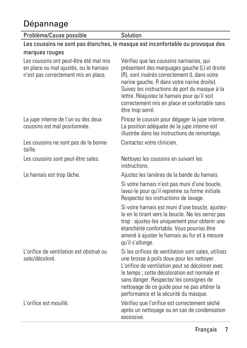# Dépannage

| Problème/Cause possible                                                                                                  | Solution                                                                                                                                                                                                                                                                                                                                                         |
|--------------------------------------------------------------------------------------------------------------------------|------------------------------------------------------------------------------------------------------------------------------------------------------------------------------------------------------------------------------------------------------------------------------------------------------------------------------------------------------------------|
|                                                                                                                          | Les coussins ne sont pas étanches, le masque est inconfortable ou provoque des                                                                                                                                                                                                                                                                                   |
| marques rouges                                                                                                           |                                                                                                                                                                                                                                                                                                                                                                  |
| Les coussins ont peut-être été mal mis<br>en place ou mal ajustés, ou le harnais<br>n'est pas correctement mis en place. | Vérifiez que les coussins narinaires, qui<br>présentent des marquages gauche (L) et droite<br>(R), sont insérés correctement (L dans votre<br>narine gauche, R dans votre narine droite).<br>Suivez les instructions de port du masque à la<br>lettre. Réajustez le harnais pour qu'il soit<br>correctement mis en place et confortable sans<br>être trop serré. |
| La jupe interne de l'un ou des deux<br>coussins est mal positionnée.                                                     | Pincez le coussin pour dégager la jupe interne.<br>La position adéquate de la jupe interne est<br>illustrée dans les instructions de remontage.                                                                                                                                                                                                                  |
| Les coussins ne sont pas de la bonne<br>taille.                                                                          | Contactez votre clinicien.                                                                                                                                                                                                                                                                                                                                       |
| Les coussins sont peut-être sales.                                                                                       | Nettoyez les coussins en suivant les<br>instructions.                                                                                                                                                                                                                                                                                                            |
| Le harnais est trop lâche.                                                                                               | Ajustez les lanières de la bande du harnais.                                                                                                                                                                                                                                                                                                                     |
|                                                                                                                          | Si votre harnais n'est pas muni d'une boucle,<br>lavez-le pour qu'il reprenne sa forme initiale.<br>Respectez les instructions de lavage.                                                                                                                                                                                                                        |
|                                                                                                                          | Si votre harnais est muni d'une boucle, ajustez-<br>le en le tirant vers la boucle. Ne les serrez pas<br>trop : ajustez-les uniquement pour obtenir une<br>étanchéité confortable. Vous pourriez être<br>amené à ajuster le harnais au fur et à mesure<br>qu'il s'allonge.                                                                                       |
| L'orifice de ventilation est obstrué ou<br>sale/décoloré.                                                                | Si les orifices de ventilation sont sales, utilisez<br>une brosse à poils doux pour les nettoyer.<br>L'orifice de ventilation peut se décolorer avec<br>le temps : cette décoloration est normale et<br>sans danger. Respectez les consignes de<br>nettoyage de ce guide pour ne pas altérer la<br>performance et la sécurité du masque.                         |
| L'orifice est mouillé.                                                                                                   | Vérifiez que l'orifice est correctement séché<br>après un nettoyage ou en cas de condensation<br>excessive.                                                                                                                                                                                                                                                      |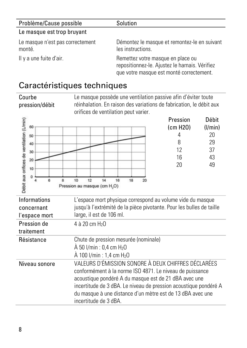| Problème/Cause possible                    | Solution                                                                                                                        |
|--------------------------------------------|---------------------------------------------------------------------------------------------------------------------------------|
| Le masque est trop bruyant                 |                                                                                                                                 |
| Le masque n'est pas correctement<br>monté. | Démontez le masque et remontez-le en suivant<br>les instructions.                                                               |
| Il y a une fuite d'air.                    | Remettez votre masque en place ou<br>repositionnez-le. Ajustez le harnais. Vérifiez<br>que votre masque est monté correctement. |

### Caractéristiques techniques

**Courbe** pression/débit Le masque possède une ventilation passive afin d'éviter toute réinhalation. En raison des variations de fabrication, le débit aux orifices de ventilation peut varier.

| Débit aux orifices de ventilation (Umin)<br>60<br>50<br>40<br>30<br>20<br>10<br>8<br>A | 10<br>12<br>16<br>18<br>14<br>20<br>Pression au masque (cm H <sub>2</sub> O)                                                                                                                                                                                                                                                        | Pression<br>(cm H20)<br>4<br>8<br>12<br>16<br>20 | Débit<br>(1/min)<br>20<br>29<br>37<br>43<br>49 |
|----------------------------------------------------------------------------------------|-------------------------------------------------------------------------------------------------------------------------------------------------------------------------------------------------------------------------------------------------------------------------------------------------------------------------------------|--------------------------------------------------|------------------------------------------------|
| <b>Informations</b><br>concernant<br>l'espace mort                                     | L'espace mort physique correspond au volume vide du masque<br>jusqu'à l'extrémité de la pièce pivotante. Pour les bulles de taille<br>large, il est de 106 ml.                                                                                                                                                                      |                                                  |                                                |
| Pression de<br>traitement                                                              | 4 à 20 cm H <sub>2</sub> O                                                                                                                                                                                                                                                                                                          |                                                  |                                                |
| Résistance                                                                             | Chute de pression mesurée (nominale)<br>$\hat{A}$ 50 l/min : 0,4 cm H <sub>2</sub> O<br>$\AA$ 100 l/min : 1,4 cm H <sub>2</sub> O                                                                                                                                                                                                   |                                                  |                                                |
| Niveau sonore                                                                          | VALEURS D'ÉMISSION SONORE À DEUX CHIFFRES DÉCLARÉES<br>conformément à la norme ISO 4871. Le niveau de puissance<br>acoustique pondéré A du masque est de 21 dBA avec une<br>incertitude de 3 dBA. Le niveau de pression acoustique pondéré A<br>du masque à une distance d'un mètre est de 13 dBA avec une<br>incertitude de 3 dBA. |                                                  |                                                |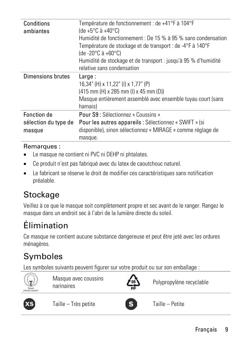| Conditions<br>ambiantes                       | Température de fonctionnement : de +41°F à 104°F<br>(de +5°C à +40°C)<br>Humidité de fonctionnement : De 15 % à 95 % sans condensation<br>Température de stockage et de transport : de -4°F à 140°F<br>(de -20°C à +60°C)<br>Humidité de stockage et de transport : jusqu'à 95 % d'humidité<br>relative sans condensation |
|-----------------------------------------------|---------------------------------------------------------------------------------------------------------------------------------------------------------------------------------------------------------------------------------------------------------------------------------------------------------------------------|
| <b>Dimensions brutes</b>                      | Large:<br>16,34" (H) x 11,22" (I) x 1,77" (P)<br>$(415$ mm $(H)$ x 285 mm $(I)$ x 45 mm $(D)$<br>Masque entièrement assemblé avec ensemble tuyau court (sans<br>harnais)                                                                                                                                                  |
| Fonction de<br>sélection du type de<br>masque | Pour S9 : Sélectionnez « Coussins »<br>Pour les autres appareils : Sélectionnez « SWIFT » (si<br>disponible), sinon sélectionnez « MIRAGE » comme réglage de<br>masque.                                                                                                                                                   |
|                                               |                                                                                                                                                                                                                                                                                                                           |

### Remarques :

- Le masque ne contient ni PVC ni DEHP ni phtalates.
- Ce produit n'est pas fabriqué avec du latex de caoutchouc naturel.
- Le fabricant se réserve le droit de modifier ces caractéristiques sans notification préalable.

# Stockage

Veillez à ce que le masque soit complètement propre et sec avant de le ranger. Rangez le masque dans un endroit sec à l'abri de la lumière directe du soleil.

# Élimination

Ce masque ne contient aucune substance dangereuse et peut être jeté avec les ordures ménagères.

# Symboles

Les symboles suivants peuvent figurer sur votre produit ou sur son emballage :



Masque avec coussins narinaires coussins **Assemblance** Polypropylène recyclable





Taille – Très petite  $\begin{bmatrix} S \end{bmatrix}$  Taille – Petite

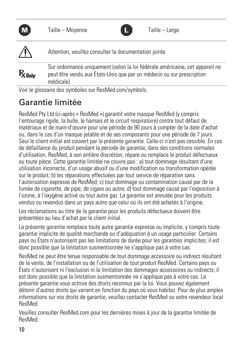|                     | Æ<br>Taille - Moyenne                                                                                                                                              | Taille - Large |
|---------------------|--------------------------------------------------------------------------------------------------------------------------------------------------------------------|----------------|
| $\sqrt{2}$          | Attention, veuillez consulter la documentation jointe                                                                                                              |                |
| $\rm R_{\rm 0}$ nly | Sur ordonnance uniquement (selon la loi fédérale américaine, cet appareil ne<br>peut être vendu aux États-Unis que par un médecin ou sur prescription<br>médicale) |                |

Voir le glossaire des symboles sur ResMed.com/symbols.

# Garantie limitée

ResMed Pty Ltd (ci-après « ResMed ») garantit votre masque ResMed (y compris l'entourage rigide, la bulle, le harnais et le circuit respiratoire) contre tout défaut de matériaux et de main-d'œuvre pour une période de 90 jours à compter de la date d'achat ou, dans le cas d'un masque jetable et de ses composants pour une période de 7 jours. Seul le client initial est couvert par la présente garantie. Celle-ci n'est pas cessible. En cas de défaillance du produit pendant la période de garantie, dans des conditions normales d'utilisation, ResMed, à son entière discrétion, répare ou remplace le produit défectueux ou toute pièce. Cette garantie limitée ne couvre pas : a) tout dommage résultant d'une utilisation incorrecte, d'un usage abusif ou d'une modification ou transformation opérée sur le produit; b) les réparations effectuées par tout service de réparation sans l'autorisation expresse de ResMed; c) tout dommage ou contamination causé par de la fumée de cigarette, de pipe, de cigare ou autre; d) tout dommage causé par l'exposition à l'ozone, à l'oxygène activé ou tout autre gaz. La garantie est annulée pour les produits vendus ou revendus dans un pays autre que celui où ils ont été achetés à l'origine.

Les réclamations au titre de la garantie pour les produits défectueux doivent être présentées au lieu d'achat par le client initial.

La présente garantie remplace toute autre garantie expresse ou implicite, y compris toute garantie implicite de qualité marchande ou d'adéquation à un usage particulier. Certains pays ou États n'autorisent pas les limitations de durée pour les garanties implicites; il est donc possible que la limitation susmentionnée ne s'applique pas à votre cas.

ResMed ne peut être tenue responsable de tout dommage accessoire ou indirect résultant de la vente, de l'installation ou de l'utilisation de tout produit ResMed. Certains pays ou États n'autorisent ni l'exclusion ni la limitation des dommages accessoires ou indirects; il est donc possible que la limitation susmentionnée ne s'applique pas à votre cas. La présente garantie vous octroie des droits reconnus par la loi. Vous pouvez également détenir d'autres droits qui varient en fonction du pays où vous habitez. Pour de plus amples informations sur vos droits de garantie, veuillez contacter ResMed ou votre revendeur local ResMed.

Veuillez consulter ResMed.com pour les dernières mises à jour de la garantie limitée de ResMed.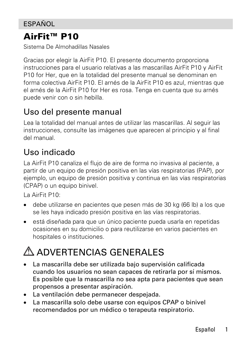### **ESPAÑOL**

### AirFit™ P10

Sistema De Almohadillas Nasales

Gracias por elegir la AirFit P10. El presente documento proporciona instrucciones para el usuario relativas a las mascarillas AirFit P10 y AirFit P10 for Her, que en la totalidad del presente manual se denominan en forma colectiva AirFit P10. El arnés de la AirFit P10 es azul, mientras que el arnés de la AirFit P10 for Her es rosa. Tenga en cuenta que su arnés puede venir con o sin hebilla.

### Uso del presente manual

Lea la totalidad del manual antes de utilizar las mascarillas. Al seguir las instrucciones, consulte las imágenes que aparecen al principio y al final del manual.

### Uso indicado

La AirFit P10 canaliza el flujo de aire de forma no invasiva al paciente, a partir de un equipo de presión positiva en las vías respiratorias (PAP), por ejemplo, un equipo de presión positiva y continua en las vías respiratorias (CPAP) o un equipo binivel.

La AirFit P10:

- debe utilizarse en pacientes que pesen más de 30 kg (66 lb) a los que se les haya indicado presión positiva en las vías respiratorias.
- está diseñada para que un único paciente pueda usarla en repetidas ocasiones en su domicilio o para reutilizarse en varios pacientes en hospitales o instituciones.

# ADVERTENCIAS GENERALES

- La mascarilla debe ser utilizada bajo supervisión calificada cuando los usuarios no sean capaces de retirarla por sí mismos. Es posible que la mascarilla no sea apta para pacientes que sean propensos a presentar aspiración.
- La ventilación debe permanecer despejada.
- La mascarilla solo debe usarse con equipos CPAP o binivel recomendados por un médico o terapeuta respiratorio.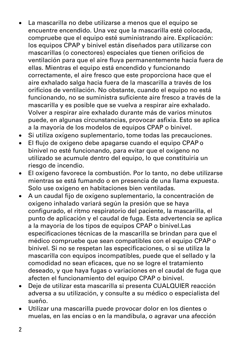- La mascarilla no debe utilizarse a menos que el equipo se encuentre encendido. Una vez que la mascarilla esté colocada, compruebe que el equipo esté suministrando aire. Explicación: los equipos CPAP y binivel están diseñados para utilizarse con mascarillas (o conectores) especiales que tienen orificios de ventilación para que el aire fluya permanentemente hacia fuera de ellas. Mientras el equipo está encendido y funcionando correctamente, el aire fresco que este proporciona hace que el aire exhalado salga hacia fuera de la mascarilla a través de los orificios de ventilación. No obstante, cuando el equipo no está funcionando, no se suministra suficiente aire fresco a través de la mascarilla y es posible que se vuelva a respirar aire exhalado. Volver a respirar aire exhalado durante más de varios minutos puede, en algunas circunstancias, provocar asfixia. Esto se aplica a la mayoría de los modelos de equipos CPAP o binivel.
- Si utiliza oxígeno suplementario, tome todas las precauciones.
- El flujo de oxígeno debe apagarse cuando el equipo CPAP o binivel no esté funcionando, para evitar que el oxígeno no utilizado se acumule dentro del equipo, lo que constituiría un riesgo de incendio.
- El oxígeno favorece la combustión. Por lo tanto, no debe utilizarse mientras se está fumando o en presencia de una llama expuesta. Solo use oxígeno en habitaciones bien ventiladas.
- A un caudal fijo de oxígeno suplementario, la concentración de oxígeno inhalado variará según la presión que se haya configurado, el ritmo respiratorio del paciente, la mascarilla, el punto de aplicación y el caudal de fuga. Esta advertencia se aplica a la mayoría de los tipos de equipos CPAP o binivel.Las especificaciones técnicas de la mascarilla se brindan para que el médico compruebe que sean compatibles con el equipo CPAP o binivel. Si no se respetan las especificaciones, o si se utiliza la mascarilla con equipos incompatibles, puede que el sellado y la comodidad no sean eficaces, que no se logre el tratamiento deseado, y que haya fugas o variaciones en el caudal de fuga que afecten el funcionamiento del equipo CPAP o binivel.
- Deje de utilizar esta mascarilla si presenta CUALQUIER reacción adversa a su utilización, y consulte a su médico o especialista del sueño.
- Utilizar una mascarilla puede provocar dolor en los dientes o muelas, en las encías o en la mandíbula, o agravar una afección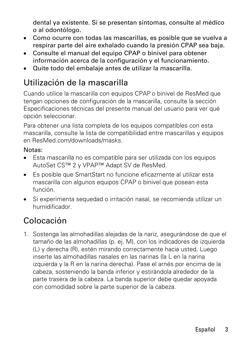dental ya existente. Si se presentan síntomas, consulte al médico o al odontólogo.

- Como ocurre con todas las mascarillas, es posible que se vuelva a respirar parte del aire exhalado cuando la presión CPAP sea baja.
- Consulte el manual del equipo CPAP o binivel para obtener información acerca de la configuración y el funcionamiento.
- Quite todo del embalaje antes de utilizar la mascarilla.

### Utilización de la mascarilla

Cuando utilice la mascarilla con equipos CPAP o binivel de ResMed que tengan opciones de configuración de la mascarilla, consulte la sección Especificaciones técnicas del presente manual del usuario para ver qué opción seleccionar.

Para obtener una lista completa de los equipos compatibles con esta mascarilla, consulte la lista de compatibilidad entre mascarillas y equipos en ResMed.com/downloads/masks.

#### Notas:

- Esta mascarilla no es compatible para ser utilizada con los equipos AutoSet CS™ 2 y VPAP™ Adapt SV de ResMed.
- Es posible que SmartStart no funcione eficazmente al utilizar esta mascarilla con algunos equipos CPAP o binivel que posean esta función.
- Si experimenta sequedad o irritación nasal, se recomienda utilizar un humidificador.

# Colocación

1. Sostenga las almohadillas alejadas de la nariz, asegurándose de que el tamaño de las almohadillas (p. ej. M), con los indicadores de izquierda (L) y derecha (R), estén mirando correctamente hacia usted. Luego inserte las almohadillas nasales en las narinas (la L en la narina izquierda y la R en la narina derecha). Pase el arnés por encima de la cabeza, sosteniendo la banda inferior y estirándola alrededor de la parte trasera de la cabeza. La banda superior debe quedar apoyada con comodidad sobre la parte superior de la cabeza.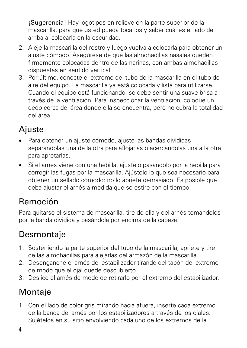¡Sugerencia! Hay logotipos en relieve en la parte superior de la mascarilla, para que usted pueda tocarlos y saber cuál es el lado de arriba al colocarla en la oscuridad.

- 2. Aleje la mascarilla del rostro y luego vuelva a colocarla para obtener un ajuste cómodo. Asegúrese de que las almohadillas nasales queden firmemente colocadas dentro de las narinas, con ambas almohadillas dispuestas en sentido vertical.
- 3. Por último, conecte el extremo del tubo de la mascarilla en el tubo de aire del equipo. La mascarilla ya está colocada y lista para utilizarse. Cuando el equipo está funcionando, se debe sentir una suave brisa a través de la ventilación. Para inspeccionar la ventilación, coloque un dedo cerca del área donde ella se encuentra, pero no cubra la totalidad del área.

## Ajuste

- Para obtener un ajuste cómodo, ajuste las bandas divididas separándolas una de la otra para aflojarlas o acercándolas una a la otra para apretarlas.
- Si el arnés viene con una hebilla, ajústelo pasándolo por la hebilla para corregir las fugas por la mascarilla. Ajústelo lo que sea necesario para obtener un sellado cómodo: no lo apriete demasiado. Es posible que deba ajustar el arnés a medida que se estire con el tiempo.

# Remoción

Para quitarse el sistema de mascarilla, tire de ella y del arnés tomándolos por la banda dividida y pasándola por encima de la cabeza.

# Desmontaje

- 1. Sosteniendo la parte superior del tubo de la mascarilla, apriete y tire de las almohadillas para alejarlas del armazón de la mascarilla.
- 2. Desenganche el arnés del estabilizador tirando del tapón del extremo de modo que el ojal quede descubierto.
- 3. Deslice el arnés de modo de retirarlo por el extremo del estabilizador.

# Montaje

1. Con el lado de color gris mirando hacia afuera, inserte cada extremo de la banda del arnés por los estabilizadores a través de los ojales. Sujételos en su sitio envolviendo cada uno de los extremos de la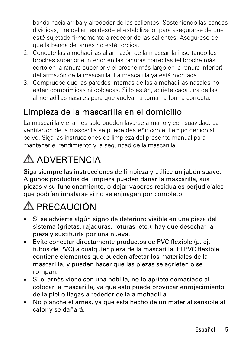banda hacia arriba y alrededor de las salientes. Sosteniendo las bandas divididas, tire del arnés desde el estabilizador para asegurarse de que esté sujetado firmemente alrededor de las salientes. Asegúrese de que la banda del arnés no esté torcida.

- 2. Conecte las almohadillas al armazón de la mascarilla insertando los broches superior e inferior en las ranuras correctas (el broche más corto en la ranura superior y el broche más largo en la ranura inferior) del armazón de la mascarilla. La mascarilla ya está montada.
- 3. Compruebe que las paredes internas de las almohadillas nasales no estén comprimidas ni dobladas. Si lo están, apriete cada una de las almohadillas nasales para que vuelvan a tomar la forma correcta.

## Limpieza de la mascarilla en el domicilio

La mascarilla y el arnés solo pueden lavarse a mano y con suavidad. La ventilación de la mascarilla se puede desteñir con el tiempo debido al polvo. Siga las instrucciones de limpieza del presente manual para mantener el rendimiento y la seguridad de la mascarilla.

# A ADVERTENCIA

Siga siempre las instrucciones de limpieza y utilice un jabón suave. Algunos productos de limpieza pueden dañar la mascarilla, sus piezas y su funcionamiento, o dejar vapores residuales perjudiciales que podrían inhalarse si no se enjuagan por completo.

# A PRECAUCIÓN

- Si se advierte algún signo de deterioro visible en una pieza del sistema (grietas, rajaduras, roturas, etc.), hay que desechar la pieza y sustituirla por una nueva.
- Evite conectar directamente productos de PVC flexible (p. ej. tubos de PVC) a cualquier pieza de la mascarilla. El PVC flexible contiene elementos que pueden afectar los materiales de la mascarilla, y pueden hacer que las piezas se agrieten o se rompan.
- Si el arnés viene con una hebilla, no lo apriete demasiado al colocar la mascarilla, ya que esto puede provocar enrojecimiento de la piel o llagas alrededor de la almohadilla.
- No planche el arnés, ya que está hecho de un material sensible al calor y se dañará.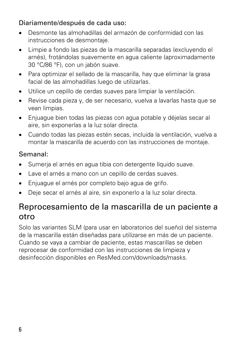### Diariamente/después de cada uso:

- Desmonte las almohadillas del armazón de conformidad con las instrucciones de desmontaje.
- Limpie a fondo las piezas de la mascarilla separadas (excluyendo el arnés), frotándolas suavemente en agua caliente (aproximadamente 30 °C/86 °F), con un jabón suave.
- Para optimizar el sellado de la mascarilla, hay que eliminar la grasa facial de las almohadillas luego de utilizarlas.
- Utilice un cepillo de cerdas suaves para limpiar la ventilación.
- Revise cada pieza y, de ser necesario, vuelva a lavarlas hasta que se vean limpias.
- Enjuague bien todas las piezas con agua potable y déjelas secar al aire, sin exponerlas a la luz solar directa.
- Cuando todas las piezas estén secas, incluida la ventilación, vuelva a montar la mascarilla de acuerdo con las instrucciones de montaje.

### Semanal:

- Sumerja el arnés en agua tibia con detergente líquido suave.
- Lave el arnés a mano con un cepillo de cerdas suaves.
- Enjuague el arnés por completo bajo agua de grifo.
- Deje secar el arnés al aire, sin exponerlo a la luz solar directa.

### Reprocesamiento de la mascarilla de un paciente a otro

Solo las variantes SLM (para usar en laboratorios del sueño) del sistema de la mascarilla están diseñadas para utilizarse en más de un paciente. Cuando se vaya a cambiar de paciente, estas mascarillas se deben reprocesar de conformidad con las instrucciones de limpieza y desinfección disponibles en ResMed.com/downloads/masks.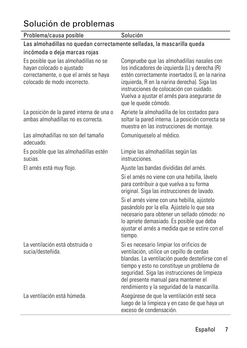# Solución de problemas

| Problema/causa posible                                                                                                                      | Solución                                                                                                                                                                                                                                                                                                                        |
|---------------------------------------------------------------------------------------------------------------------------------------------|---------------------------------------------------------------------------------------------------------------------------------------------------------------------------------------------------------------------------------------------------------------------------------------------------------------------------------|
| Las almohadillas no quedan correctamente selladas, la mascarilla queda                                                                      |                                                                                                                                                                                                                                                                                                                                 |
| incómoda o deja marcas rojas                                                                                                                |                                                                                                                                                                                                                                                                                                                                 |
| Es posible que las almohadillas no se<br>hayan colocado o ajustado<br>correctamente, o que el arnés se haya<br>colocado de modo incorrecto. | Compruebe que las almohadillas nasales con<br>los indicadores de izquierda (L) y derecha (R)<br>estén correctamente insertados (L en la narina<br>izquierda, R en la narina derecha). Siga las<br>instrucciones de colocación con cuidado.<br>Vuelva a ajustar el arnés para asegurarse de<br>que le quede cómodo.              |
| La posición de la pared interna de una o<br>ambas almohadillas no es correcta.                                                              | Apriete la almohadilla de los costados para<br>soltar la pared interna. La posición correcta se<br>muestra en las instrucciones de montaje.                                                                                                                                                                                     |
| Las almohadillas no son del tamaño<br>adecuado.                                                                                             | Comuníqueselo al médico.                                                                                                                                                                                                                                                                                                        |
| Es posible que las almohadillas estén<br>sucias.                                                                                            | Limpie las almohadillas según las<br>instrucciones                                                                                                                                                                                                                                                                              |
| El arnés está muy flojo.                                                                                                                    | Ajuste las bandas divididas del arnés.                                                                                                                                                                                                                                                                                          |
|                                                                                                                                             | Si el arnés no viene con una hebilla, lávelo<br>para contribuir a que vuelva a su forma<br>original. Siga las instrucciones de lavado.                                                                                                                                                                                          |
|                                                                                                                                             | Si el arnés viene con una hebilla, ajústelo<br>pasándolo por la ella. Ajústelo lo que sea<br>necesario para obtener un sellado cómodo: no<br>lo apriete demasiado. Es posible que deba<br>ajustar el arnés a medida que se estire con el<br>tiempo.                                                                             |
| La ventilación está obstruida o<br>sucia/desteñida.                                                                                         | Si es necesario limpiar los orificios de<br>ventilación, utilice un cepillo de cerdas<br>blandas. La ventilación puede desteñirse con el<br>tiempo y esto no constituye un problema de<br>seguridad. Siga las instrucciones de limpieza<br>del presente manual para mantener el<br>rendimiento y la seguridad de la mascarilla. |
| La ventilación está húmeda                                                                                                                  | Asegúrese de que la ventilación esté seca<br>luego de la limpieza y en caso de que haya un<br>exceso de condensación.                                                                                                                                                                                                           |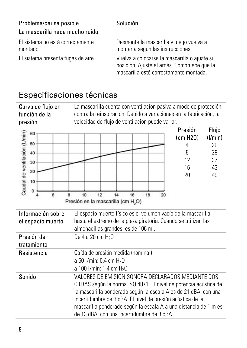| Problema/causa posible                       | Solución                                                                                                                              |
|----------------------------------------------|---------------------------------------------------------------------------------------------------------------------------------------|
| La mascarilla hace mucho ruido               |                                                                                                                                       |
| El sistema no está correctamente<br>montado. | Desmonte la mascarilla y luego vuelva a<br>montarla según las instrucciones.                                                          |
| El sistema presenta fugas de aire.           | Vuelva a colocarse la mascarilla o ajuste su<br>posición. Ajuste el arnés. Compruebe que la<br>mascarilla esté correctamente montada. |

### Especificaciones técnicas

Curva de flujo en función de la presión La mascarilla cuenta con ventilación pasiva a modo de protección contra la reinspiración. Debido a variaciones en la fabricación, la velocidad de flujo de ventilación puede variar.



| Información sobre<br>el espacio muerto | El espacio muerto físico es el volumen vacío de la mascarilla<br>hasta el extremo de la pieza giratoria. Cuando se utilizan las<br>almohadillas grandes, es de 106 ml.                                                                                                                                                                                                   |
|----------------------------------------|--------------------------------------------------------------------------------------------------------------------------------------------------------------------------------------------------------------------------------------------------------------------------------------------------------------------------------------------------------------------------|
| Presión de<br>tratamiento              | De 4 a 20 cm $H_2$ 0                                                                                                                                                                                                                                                                                                                                                     |
| Resistencia                            | Caída de presión medida (nominal)<br>a 50 I/min: 0.4 cm H <sub>2</sub> O<br>a 100 l/min: 1.4 cm H <sub>2</sub> O                                                                                                                                                                                                                                                         |
| Sonido                                 | VALORES DE EMISIÓN SONORA DECLARADOS MEDIANTE DOS<br>CIFRAS según la norma ISO 4871. El nivel de potencia acústica de<br>la mascarilla ponderado según la escala A es de 21 dBA, con una<br>incertidumbre de 3 dBA. El nivel de presión acústica de la<br>mascarilla ponderado según la escala A a una distancia de 1 m es<br>de 13 dBA, con una incertidumbre de 3 dBA. |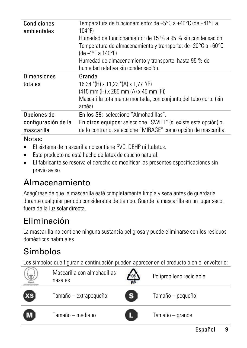| Condiciones<br>ambientales                       | Temperatura de funcionamiento: de +5°C a +40°C (de +41°F a<br>$104^{\circ}$ F)<br>Humedad de funcionamiento: de 15 % a 95 % sin condensación<br>Temperatura de almacenamiento y transporte: de -20°C a +60°C<br>(de -4°F a 140°F)<br>Humedad de almacenamiento y transporte: hasta 95 % de<br>humedad relativa sin condensación. |
|--------------------------------------------------|----------------------------------------------------------------------------------------------------------------------------------------------------------------------------------------------------------------------------------------------------------------------------------------------------------------------------------|
| <b>Dimensiones</b><br>totales                    | Grande:<br>16.34 "(H) x 11.22 "(A) x 1.77 "(P)<br>$(415$ mm $(H)$ x 285 mm $(A)$ x 45 mm $(P)$<br>Mascarilla totalmente montada, con conjunto del tubo corto (sin<br>arnés)                                                                                                                                                      |
| Opciones de<br>configuración de la<br>mascarilla | En los S9: seleccione "Almohadillas".<br>En otros equipos: seleccione "SWIFT" (si existe esta opción) o,<br>de lo contrario, seleccione "MIRAGE" como opción de mascarilla.                                                                                                                                                      |

#### Notas:

- El sistema de mascarilla no contiene PVC, DEHP ni ftalatos.
- Este producto no está hecho de látex de caucho natural.
- El fabricante se reserva el derecho de modificar las presentes especificaciones sin previo aviso.

# Almacenamiento

Asegúrese de que la mascarilla esté completamente limpia y seca antes de guardarla durante cualquier período considerable de tiempo. Guarde la mascarilla en un lugar seco, fuera de la luz solar directa.

# Eliminación

La mascarilla no contiene ninguna sustancia peligrosa y puede eliminarse con los residuos domésticos habituales.

# Símbolos

Los símbolos que figuran a continuación pueden aparecer en el producto o en el envoltorio:

|    | Mascarilla con almohadillas<br>nasales | 05 | Polipropileno reciclable |
|----|----------------------------------------|----|--------------------------|
| XS | Tamaño - extrapequeño                  |    | Tamaño - pequeño         |
|    | Tamaño — mediano                       |    | Tamaño - grande          |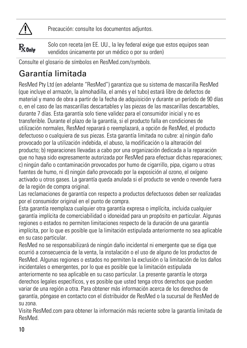

Precaución: consulte los documentos adjuntos.

Solo con receta (en EE. UU., la ley federal exige que estos equipos sean  $R_{\rm 20nV}$ vendidos únicamente por un médico o por su orden)

Consulte el glosario de símbolos en ResMed.com/symbols.

# Garantía limitada

ResMed Pty Ltd (en adelante "ResMed") garantiza que su sistema de mascarilla ResMed (que incluye el armazón, la almohadilla, el arnés y el tubo) estará libre de defectos de material y mano de obra a partir de la fecha de adquisición y durante un período de 90 días o, en el caso de las mascarillas descartables y las piezas de las mascarillas descartables, durante 7 días. Esta garantía solo tiene validez para el consumidor inicial y no es transferible. Durante el plazo de la garantía, si el producto falla en condiciones de utilización normales, ResMed reparará o reemplazará, a opción de ResMed, el producto defectuoso o cualquiera de sus piezas. Esta garantía limitada no cubre: a) ningún daño provocado por la utilización indebida, el abuso, la modificación o la alteración del producto; b) reparaciones llevadas a cabo por una organización dedicada a la reparación que no haya sido expresamente autorizada por ResMed para efectuar dichas reparaciones; c) ningún daño o contaminación provocados por humo de cigarrillo, pipa, cigarro u otras fuentes de humo, ni d) ningún daño provocado por la exposición al ozono, el oxígeno activado u otros gases. La garantía queda anulada si el producto se vende o revende fuera de la región de compra original.

Las reclamaciones de garantía con respecto a productos defectuosos deben ser realizadas por el consumidor original en el punto de compra.

Esta garantía reemplaza cualquier otra garantía expresa o implícita, incluida cualquier garantía implícita de comerciabilidad o idoneidad para un propósito en particular. Algunas regiones o estados no permiten limitaciones respecto de la duración de una garantía implícita, por lo que es posible que la limitación estipulada anteriormente no sea aplicable en su caso particular.

ResMed no se responsabilizará de ningún daño incidental ni emergente que se diga que ocurrió a consecuencia de la venta, la instalación o el uso de alguno de los productos de ResMed. Algunas regiones o estados no permiten la exclusión o la limitación de los daños incidentales o emergentes, por lo que es posible que la limitación estipulada anteriormente no sea aplicable en su caso particular. La presente garantía le otorga derechos legales específicos, y es posible que usted tenga otros derechos que pueden variar de una región a otra. Para obtener más información acerca de los derechos de garantía, póngase en contacto con el distribuidor de ResMed o la sucursal de ResMed de su zona.

Visite ResMed.com para obtener la información más reciente sobre la garantía limitada de ResMed.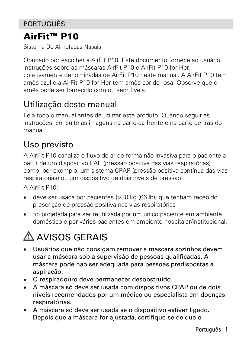### PORTUGUÊS

### AirFit™ P10

Sistema De Almofadas Nasais

Obrigado por escolher a AirFit P10. Este documento fornece ao usuário instruções sobre as máscaras AirFit P10 e AirFit P10 for Her, coletivamente denominadas de AirFit P10 neste manual. A AirFit P10 tem arnês azul e a AirFit P10 for Her tem arnês cor-de-rosa. Observe que o arnês pode ser fornecido com ou sem fivela.

### Utilização deste manual

Leia todo o manual antes de utilizar este produto. Quando seguir as instruções, consulte as imagens na parte da frente e na parte de trás do manual.

## Uso previsto

A AirFit P10 canaliza o fluxo de ar de forma não invasiva para o paciente a partir de um dispositivo PAP (pressão positiva das vias respiratórias) como, por exemplo, um sistema CPAP (pressão positiva contínua das vias respiratórias) ou um dispositivo de dois níveis de pressão.

A AirFit P10:

- deve ser usada por pacientes (>30 kg (66 lb)) que tenham recebido prescrição de pressão positiva nas vias respiratórias
- foi projetada para ser reutilizada por um único paciente em ambiente doméstico e por vários pacientes em ambiente hospitalar/institucional.

# A AVISOS GERAIS

- Usuários que não consigam remover a máscara sozinhos devem usar a máscara sob a supervisão de pessoas qualificadas. A máscara pode não ser adequada para pessoas predispostas a aspiração.
- O respiradouro deve permanecer desobstruído.
- A máscara só deve ser usada com dispositivos CPAP ou de dois níveis recomendados por um médico ou especialista em doenças respiratórias.
- A máscara só deve ser usada se o dispositivo estiver ligado. Depois que a máscara for ajustada, certifique-se de que o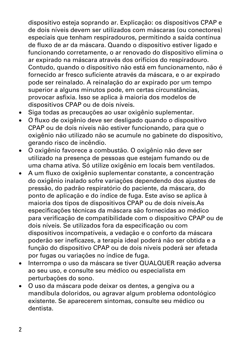dispositivo esteja soprando ar. Explicação: os dispositivos CPAP e de dois níveis devem ser utilizados com máscaras (ou conectores) especiais que tenham respiradouros, permitindo a saída contínua de fluxo de ar da máscara. Quando o dispositivo estiver ligado e funcionando corretamente, o ar renovado do dispositivo elimina o ar expirado na máscara através dos orifícios do respiradouro. Contudo, quando o dispositivo não está em funcionamento, não é fornecido ar fresco suficiente através da máscara, e o ar expirado pode ser reinalado. A reinalação do ar expirado por um tempo superior a alguns minutos pode, em certas circunstâncias, provocar asfixia. Isso se aplica à maioria dos modelos de dispositivos CPAP ou de dois níveis.

- Siga todas as precauções ao usar oxigênio suplementar.
- O fluxo de oxigênio deve ser desligado quando o dispositivo CPAP ou de dois níveis não estiver funcionando, para que o oxigênio não utilizado não se acumule no gabinete do dispositivo, gerando risco de incêndio.
- O oxigênio favorece a combustão. O oxigênio não deve ser utilizado na presença de pessoas que estejam fumando ou de uma chama ativa. Só utilize oxigênio em locais bem ventilados.
- A um fluxo de oxigênio suplementar constante, a concentração do oxigênio inalado sofre variações dependendo dos ajustes de pressão, do padrão respiratório do paciente, da máscara, do ponto de aplicação e do índice de fuga. Este aviso se aplica à maioria dos tipos de dispositivos CPAP ou de dois níveis.As especificações técnicas da máscara são fornecidas ao médico para verificação de compatibilidade com o dispositivo CPAP ou de dois níveis. Se utilizados fora da especificação ou com dispositivos incompatíveis, a vedação e o conforto da máscara poderão ser ineficazes, a terapia ideal poderá não ser obtida e a função do dispositivo CPAP ou de dois níveis poderá ser afetada por fugas ou variações no índice de fuga.
- Interrompa o uso da máscara se tiver QUALQUER reação adversa ao seu uso, e consulte seu médico ou especialista em perturbações do sono.
- O uso da máscara pode deixar os dentes, a gengiva ou a mandíbula doloridos, ou agravar algum problema odontológico existente. Se aparecerem sintomas, consulte seu médico ou dentista.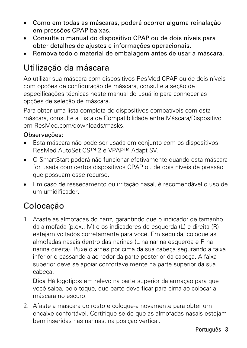- Como em todas as máscaras, poderá ocorrer alguma reinalação em pressões CPAP baixas.
- Consulte o manual do dispositivo CPAP ou de dois níveis para obter detalhes de ajustes e informações operacionais.
- Remova todo o material de embalagem antes de usar a máscara.

### Utilização da máscara

Ao utilizar sua máscara com dispositivos ResMed CPAP ou de dois níveis com opções de configuração de máscara, consulte a seção de especificações técnicas neste manual do usuário para conhecer as opções de seleção de máscara.

Para obter uma lista completa de dispositivos compatíveis com esta máscara, consulte a Lista de Compatibilidade entre Máscara/Dispositivo em ResMed.com/downloads/masks.

#### Observações:

- Esta máscara não pode ser usada em conjunto com os dispositivos ResMed AutoSet CS™ 2 e VPAP™ Adapt SV.
- O SmartStart poderá não funcionar efetivamente quando esta máscara for usada com certos dispositivos CPAP ou de dois níveis de pressão que possuam esse recurso.
- Em caso de ressecamento ou irritação nasal, é recomendável o uso de um umidificador.

### Colocação

1. Afaste as almofadas do nariz, garantindo que o indicador de tamanho da almofada (p.ex., M) e os indicadores de esquerda (L) e direita (R) estejam voltados corretamente para você. Em seguida, coloque as almofadas nasais dentro das narinas (L na narina esquerda e R na narina direita). Puxe o arnês por cima da sua cabeça segurando a faixa inferior e passando-a ao redor da parte posterior da cabeça. A faixa superior deve se apoiar confortavelmente na parte superior da sua cabeça.

Dica Há logotipos em relevo na parte superior da armação para que você saiba, pelo toque, que parte deve ficar para cima ao colocar a máscara no escuro.

2. Afaste a máscara do rosto e coloque-a novamente para obter um encaixe confortável. Certifique-se de que as almofadas nasais estejam bem inseridas nas narinas, na posição vertical.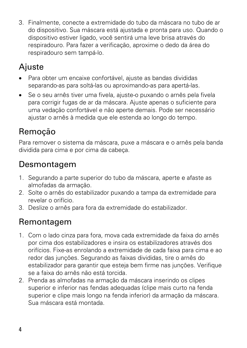3. Finalmente, conecte a extremidade do tubo da máscara no tubo de ar do dispositivo. Sua máscara está ajustada e pronta para uso. Quando o dispositivo estiver ligado, você sentirá uma leve brisa através do respiradouro. Para fazer a verificação, aproxime o dedo da área do respiradouro sem tampá-lo.

# **A**iuste

- Para obter um encaixe confortável, ajuste as bandas divididas separando-as para soltá-las ou aproximando-as para apertá-las.
- Se o seu arnês tiver uma fivela, ajuste-o puxando o arnês pela fivela para corrigir fugas de ar da máscara. Ajuste apenas o suficiente para uma vedação confortável e não aperte demais. Pode ser necessário ajustar o arnês à medida que ele estenda ao longo do tempo.

# Remoção

Para remover o sistema da máscara, puxe a máscara e o arnês pela banda dividida para cima e por cima da cabeça.

### Desmontagem

- 1. Segurando a parte superior do tubo da máscara, aperte e afaste as almofadas da armação.
- 2. Solte o arnês do estabilizador puxando a tampa da extremidade para revelar o orifício.
- 3. Deslize o arnês para fora da extremidade do estabilizador.

### Remontagem

- 1. Com o lado cinza para fora, mova cada extremidade da faixa do arnês por cima dos estabilizadores e insira os estabilizadores através dos orifícios. Fixe-as enrolando a extremidade de cada faixa para cima e ao redor das junções. Segurando as faixas divididas, tire o arnês do estabilizador para garantir que esteja bem firme nas junções. Verifique se a faixa do arnês não está torcida.
- 2. Prenda as almofadas na armação da máscara inserindo os clipes superior e inferior nas fendas adequadas (clipe mais curto na fenda superior e clipe mais longo na fenda inferior) da armação da máscara. Sua máscara está montada.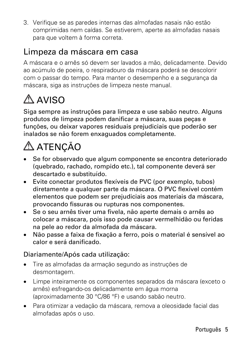3. Verifique se as paredes internas das almofadas nasais não estão comprimidas nem caídas. Se estiverem, aperte as almofadas nasais para que voltem à forma correta.

### Limpeza da máscara em casa

A máscara e o arnês só devem ser lavados a mão, delicadamente. Devido ao acúmulo de poeira, o respiradouro da máscara poderá se descolorir com o passar do tempo. Para manter o desempenho e a segurança da máscara, siga as instruções de limpeza neste manual.

# $\triangle$  AVISO

Siga sempre as instruções para limpeza e use sabão neutro. Alguns produtos de limpeza podem danificar a máscara, suas peças e funções, ou deixar vapores residuais prejudiciais que poderão ser inalados se não forem enxaguados completamente.

# A ATENÇÃO

- Se for observado que algum componente se encontra deteriorado (quebrado, rachado, rompido etc.), tal componente deverá ser descartado e substituído.
- Evite conectar produtos flexíveis de PVC (por exemplo, tubos) diretamente a qualquer parte da máscara. O PVC flexível contém elementos que podem ser prejudiciais aos materiais da máscara, provocando fissuras ou rupturas nos componentes.
- Se o seu arnês tiver uma fivela, não aperte demais o arnês ao colocar a máscara, pois isso pode causar vermelhidão ou feridas na pele ao redor da almofada da máscara.
- Não passe a faixa de fixação a ferro, pois o material é sensível ao calor e será danificado.

#### Diariamente/Após cada utilização:

- Tire as almofadas da armação segundo as instruções de desmontagem.
- Limpe inteiramente os componentes separados da máscara (exceto o arnês) esfregando-os delicadamente em água morna (aproximadamente 30 °C/86 °F) e usando sabão neutro.
- Para otimizar a vedação da máscara, remova a oleosidade facial das almofadas após o uso.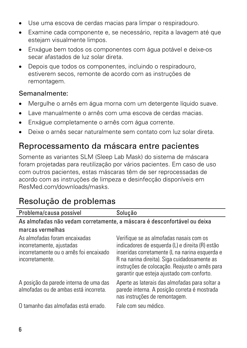- Use uma escova de cerdas macias para limpar o respiradouro.
- Examine cada componente e, se necessário, repita a lavagem até que estejam visualmente limpos.
- Enxágue bem todos os componentes com água potável e deixe-os secar afastados de luz solar direta.
- Depois que todos os componentes, incluindo o respiradouro, estiverem secos, remonte de acordo com as instruções de remontagem.

### Semanalmente:

- Mergulhe o arnês em água morna com um detergente líquido suave.
- Lave manualmente o arnês com uma escova de cerdas macias.
- Enxágue completamente o arnês com água corrente.
- Deixe o arnês secar naturalmente sem contato com luz solar direta.

### Reprocessamento da máscara entre pacientes

Somente as variantes SLM (Sleep Lab Mask) do sistema de máscara foram projetadas para reutilização por vários pacientes. Em caso de uso com outros pacientes, estas máscaras têm de ser reprocessadas de acordo com as instruções de limpeza e desinfecção disponíveis em ResMed.com/downloads/masks.

# Resolução de problemas

| Problema/causa possível                                                                                                  | Solução                                                                                                                                                                                                                                                                                      |  |
|--------------------------------------------------------------------------------------------------------------------------|----------------------------------------------------------------------------------------------------------------------------------------------------------------------------------------------------------------------------------------------------------------------------------------------|--|
| As almofadas não vedam corretamente, a máscara é desconfortável ou deixa                                                 |                                                                                                                                                                                                                                                                                              |  |
| marcas vermelhas                                                                                                         |                                                                                                                                                                                                                                                                                              |  |
| As almofadas foram encaixadas<br>incorretamente, ajustadas<br>incorretamente ou o arnês foi encaixado<br>incorretamente. | Verifique se as almofadas nasais com os<br>indicadores de esquerda (L) e direita (R) estão<br>inseridas corretamente (L na narina esquerda e<br>R na narina direita). Siga cuidadosamente as<br>instruções de colocação. Reajuste o arnês para<br>garantir que esteja ajustado com conforto. |  |
| A posição da parede interna de uma das<br>almofadas ou de ambas está incorreta.<br>O tamanho das almofadas está errado.  | Aperte as laterais das almofadas para soltar a<br>parede interna. A posição correta é mostrada<br>nas instruções de remontagem.<br>Fale com seu médico.                                                                                                                                      |  |
|                                                                                                                          |                                                                                                                                                                                                                                                                                              |  |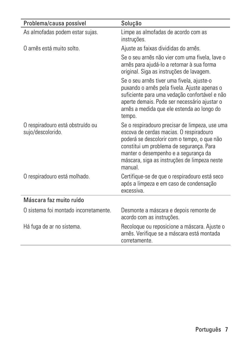| Problema/causa possível                               | Solução                                                                                                                                                                                                                                                                                |
|-------------------------------------------------------|----------------------------------------------------------------------------------------------------------------------------------------------------------------------------------------------------------------------------------------------------------------------------------------|
| As almofadas podem estar sujas.                       | Limpe as almofadas de acordo com as<br>instruções.                                                                                                                                                                                                                                     |
| O arnês está muito solto.                             | Ajuste as faixas divididas do arnês.                                                                                                                                                                                                                                                   |
|                                                       | Se o seu arnês não vier com uma fivela, lave o<br>arnês para ajudá-lo a retornar à sua forma<br>original. Siga as instruções de lavagem.                                                                                                                                               |
|                                                       | Se o seu arnês tiver uma fivela, ajuste-o<br>puxando o arnês pela fivela. Ajuste apenas o<br>suficiente para uma vedação confortável e não<br>aperte demais. Pode ser necessário ajustar o<br>arnês a medida que ele estenda ao longo do<br>tempo.                                     |
| O respiradouro está obstruído ou<br>sujo/descolorido. | Se o respiradouro precisar de limpeza, use uma<br>escova de cerdas macias. O respiradouro<br>poderá se descolorir com o tempo, o que não<br>constitui um problema de segurança. Para<br>manter o desempenho e a segurança da<br>máscara, siga as instruções de limpeza neste<br>manual |
| O respiradouro está molhado.                          | Certifique-se de que o respiradouro está seco<br>após a limpeza e em caso de condensação<br>excessiva                                                                                                                                                                                  |
| Máscara faz muito ruído                               |                                                                                                                                                                                                                                                                                        |
| O sistema foi montado incorretamente.                 | Desmonte a máscara e depois remonte de<br>acordo com as instruções.                                                                                                                                                                                                                    |
| Há fuga de ar no sistema.                             | Recoloque ou reposicione a máscara. Ajuste o<br>arnês. Verifique se a máscara está montada<br>corretamente.                                                                                                                                                                            |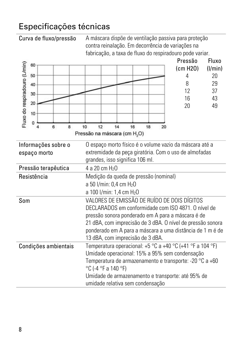## Especificações técnicas

Curva de fluxo/pressão A máscara dispõe de ventilação passiva para proteção contra reinalação. Em decorrência de variações na fabricação, a taxa de fluxo do respiradouro pode variar.

| Fluxo do respiradouro (L/min)<br>60<br>50<br>40<br>30<br>20<br>10<br>$\Omega$<br>$\overline{6}$<br>8<br>4 | 10<br>12<br>14<br>16<br>18<br>20<br>Pressão na máscara (cm H <sub>2</sub> O)                                            | Pressão<br>(cm H20)<br>4<br>8<br>12<br>16<br>20 | Fluxo<br>(1/min)<br>20<br>29<br>37<br>43<br>49 |  |
|-----------------------------------------------------------------------------------------------------------|-------------------------------------------------------------------------------------------------------------------------|-------------------------------------------------|------------------------------------------------|--|
| Informações sobre o                                                                                       | O espaço morto físico é o volume vazio da máscara até a                                                                 |                                                 |                                                |  |
| espaço morto                                                                                              | extremidade da peça giratória. Com o uso de almofadas                                                                   |                                                 |                                                |  |
|                                                                                                           | grandes, isso significa 106 ml.                                                                                         |                                                 |                                                |  |
| Pressão terapêutica                                                                                       | 4 a 20 cm H <sub>2</sub> O                                                                                              |                                                 |                                                |  |
| Resistência                                                                                               | Medição da queda de pressão (nominal)                                                                                   |                                                 |                                                |  |
|                                                                                                           | a 50 l/min: 0,4 cm H <sub>2</sub> O                                                                                     |                                                 |                                                |  |
|                                                                                                           | a 100 l/min: 1,4 cm H <sub>2</sub> O                                                                                    |                                                 |                                                |  |
| Som                                                                                                       | VALORES DE EMISSÃO DE RUÍDO DE DOIS DÍGITOS                                                                             |                                                 |                                                |  |
|                                                                                                           | DECLARADOS em conformidade com ISO 4871. O nível de                                                                     |                                                 |                                                |  |
|                                                                                                           | pressão sonora ponderado em A para a máscara é de                                                                       |                                                 |                                                |  |
|                                                                                                           | 21 dBA, com imprecisão de 3 dBA. O nível de pressão sonora<br>ponderado em A para a máscara a uma distância de 1 m é de |                                                 |                                                |  |
|                                                                                                           | 13 dBA, com imprecisão de 3 dBA.                                                                                        |                                                 |                                                |  |
| Condições ambientais                                                                                      | Temperatura operacional: +5 °C a +40 °C (+41 °F a 104 °F)                                                               |                                                 |                                                |  |
|                                                                                                           | Umidade operacional: 15% a 95% sem condensação                                                                          |                                                 |                                                |  |
|                                                                                                           | Temperatura de armazenamento e transporte: -20 °C a +60                                                                 |                                                 |                                                |  |
|                                                                                                           | °C (-4 °F a 140 °F)                                                                                                     |                                                 |                                                |  |
|                                                                                                           | Umidade de armazenamento e transporte: até 95% de                                                                       |                                                 |                                                |  |
|                                                                                                           | umidade relativa sem condensação                                                                                        |                                                 |                                                |  |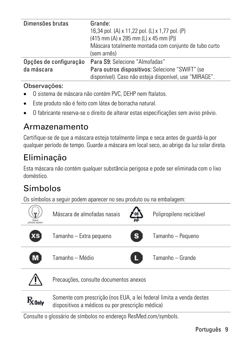| Dimensões brutas       | Grande:<br>16,34 pol. (A) x 11,22 pol. (L) x 1,77 pol. (P) |
|------------------------|------------------------------------------------------------|
|                        |                                                            |
|                        | $(415$ mm $(A)$ x 285 mm $(L)$ x 45 mm $(P)$               |
|                        | Máscara totalmente montada com conjunto de tubo curto      |
|                        | (sem arnês)                                                |
| Opções de configuração | Para S9: Selecione "Almofadas"                             |
| da máscara             | Para outros dispositivos: Selecione "SWIFT" (se            |
|                        | disponível). Caso não esteja disponível, use "MIRAGE".     |

#### Observações:

- O sistema de máscara não contém PVC, DEHP nem ftalatos.
- Este produto não é feito com látex de borracha natural.
- O fabricante reserva-se o direito de alterar estas especificações sem aviso prévio.

### Armazenamento

Certifique-se de que a máscara esteja totalmente limpa e seca antes de guardá-la por qualquer período de tempo. Guarde a máscara em local seco, ao abrigo da luz solar direta.

# Eliminação

Esta máscara não contém qualquer substância perigosa e pode ser eliminada com o lixo doméstico.

# Símbolos

Os símbolos a seguir podem aparecer no seu produto ou na embalagem:



Somente com prescrição (nos EUA, a lei federal limita a venda destes  $R_{\rm 20nlv}$ dispositivos a médicos ou por prescrição médica)

Consulte o glossário de símbolos no endereço ResMed.com/symbols.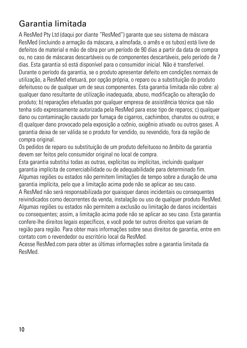# Garantia limitada

A ResMed Pty Ltd (daqui por diante "ResMed") garante que seu sistema de máscara ResMed (incluindo a armação da máscara, a almofada, o arnês e os tubos) está livre de defeitos de material e mão de obra por um período de 90 dias a partir da data de compra ou, no caso de máscaras descartáveis ou de componentes descartáveis, pelo período de 7 dias. Esta garantia só está disponível para o consumidor inicial. Não é transferível. Durante o período da garantia, se o produto apresentar defeito em condições normais de utilização, a ResMed efetuará, por opção própria, o reparo ou a substituição do produto defeituoso ou de qualquer um de seus componentes. Esta garantia limitada não cobre: a) qualquer dano resultante de utilização inadequada, abuso, modificação ou alteração do produto; b) reparações efetuadas por qualquer empresa de assistência técnica que não tenha sido expressamente autorizada pela ResMed para esse tipo de reparos; c) qualquer dano ou contaminação causado por fumaça de cigarros, cachimbos, charutos ou outros; e d) qualquer dano provocado pela exposição a ozônio, oxigênio ativado ou outros gases. A garantia deixa de ser válida se o produto for vendido, ou revendido, fora da região de compra original.

Os pedidos de reparo ou substituição de um produto defeituoso no âmbito da garantia devem ser feitos pelo consumidor original no local de compra.

Esta garantia substitui todas as outras, explícitas ou implícitas, incluindo qualquer garantia implícita de comerciabilidade ou de adequabilidade para determinado fim. Algumas regiões ou estados não permitem limitações de tempo sobre a duração de uma garantia implícita, pelo que a limitação acima pode não se aplicar ao seu caso.

A ResMed não será responsabilizada por quaisquer danos incidentais ou consequentes reivindicados como decorrentes da venda, instalação ou uso de qualquer produto ResMed. Algumas regiões ou estados não permitem a exclusão ou limitação de danos incidentais ou consequentes; assim, a limitação acima pode não se aplicar ao seu caso. Esta garantia confere-lhe direitos legais específicos, e você pode ter outros direitos que variam de região para região. Para obter mais informações sobre seus direitos de garantia, entre em contato com o revendedor ou escritório local da ResMed.

Acesse ResMed.com para obter as últimas informações sobre a garantia limitada da ResMed.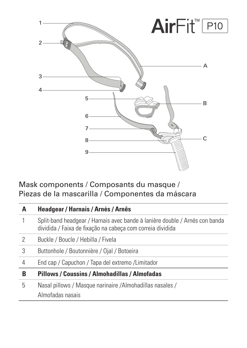

### Mask components / Composants du masque / Piezas de la mascarilla / Componentes da máscara

| A | Headgear / Harnais / Arnés / Arnês                                                                                                        |
|---|-------------------------------------------------------------------------------------------------------------------------------------------|
|   | Split-band headgear / Harnais avec bande à lanière double / Arnés con banda<br>dividida / Faixa de fixação na cabeça com correia dividida |
| 2 | Buckle / Boucle / Hebilla / Fivela                                                                                                        |
| 3 | Buttonhole / Boutonnière / Ojal / Botoeira                                                                                                |
| 4 | End cap / Capuchon / Tapa del extremo / Limitador                                                                                         |
| В | Pillows / Coussins / Almohadillas / Almofadas                                                                                             |
| 5 | Nasal pillows / Masque narinaire / Almohadillas nasales /<br>Almofadas nasais                                                             |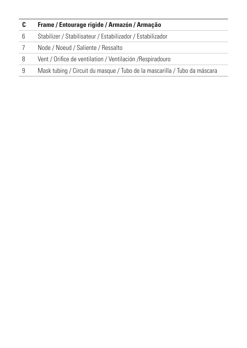| c | Frame / Entourage rigide / Armazón / Armação                              |
|---|---------------------------------------------------------------------------|
| 6 | Stabilizer / Stabilisateur / Estabilizador / Estabilizador                |
|   | Node / Noeud / Saliente / Ressalto                                        |
| 8 | Vent / Orifice de ventilation / Ventilación / Respiradouro                |
| 9 | Mask tubing / Circuit du masque / Tubo de la mascarilla / Tubo da máscara |
|   |                                                                           |